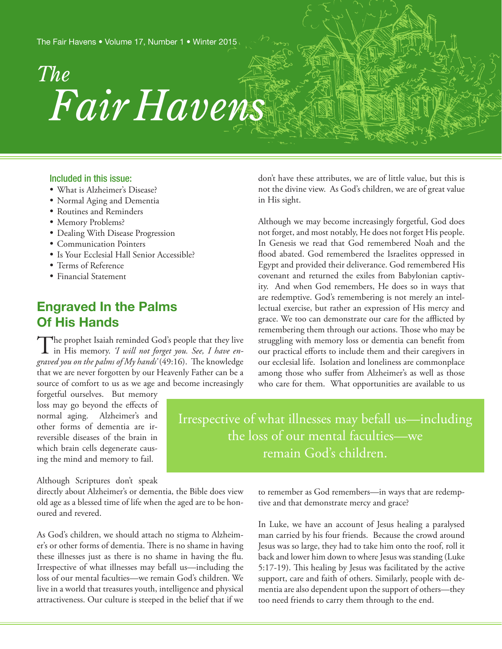*Fair Havens The*

### Included in this issue:

- What is Alzheimer's Disease?
- • Normal Aging and Dementia
- • Routines and Reminders
- Memory Problems?
- Dealing With Disease Progression
- Communication Pointers
- Is Your Ecclesial Hall Senior Accessible?
- • Terms of Reference
- • Financial Statement

# **Engraved In the Palms Of His Hands**

The prophet Isaiah reminded God's people that they live<br>in His memory. *'I will not forget you. See, I have engraved you on the palms of My hands'* (49:16). The knowledge that we are never forgotten by our Heavenly Father can be a source of comfort to us as we age and become increasingly

forgetful ourselves. But memory loss may go beyond the effects of normal aging. Alzheimer's and other forms of dementia are irreversible diseases of the brain in which brain cells degenerate causing the mind and memory to fail.

Although Scriptures don't speak

directly about Alzheimer's or dementia, the Bible does view old age as a blessed time of life when the aged are to be honoured and revered.

As God's children, we should attach no stigma to Alzheimer's or other forms of dementia. There is no shame in having these illnesses just as there is no shame in having the flu. Irrespective of what illnesses may befall us—including the loss of our mental faculties—we remain God's children. We live in a world that treasures youth, intelligence and physical attractiveness. Our culture is steeped in the belief that if we

don't have these attributes, we are of little value, but this is not the divine view. As God's children, we are of great value in His sight.

Although we may become increasingly forgetful, God does not forget, and most notably, He does not forget His people. In Genesis we read that God remembered Noah and the flood abated. God remembered the Israelites oppressed in Egypt and provided their deliverance. God remembered His covenant and returned the exiles from Babylonian captivity. And when God remembers, He does so in ways that are redemptive. God's remembering is not merely an intellectual exercise, but rather an expression of His mercy and grace. We too can demonstrate our care for the afflicted by remembering them through our actions. Those who may be struggling with memory loss or dementia can benefit from our practical efforts to include them and their caregivers in our ecclesial life. Isolation and loneliness are commonplace among those who suffer from Alzheimer's as well as those who care for them. What opportunities are available to us

Irrespective of what illnesses may befall us—including the loss of our mental faculties—we remain God's children.

> to remember as God remembers—in ways that are redemptive and that demonstrate mercy and grace?

> In Luke, we have an account of Jesus healing a paralysed man carried by his four friends. Because the crowd around Jesus was so large, they had to take him onto the roof, roll it back and lower him down to where Jesus was standing (Luke 5:17-19). This healing by Jesus was facilitated by the active support, care and faith of others. Similarly, people with dementia are also dependent upon the support of others—they too need friends to carry them through to the end.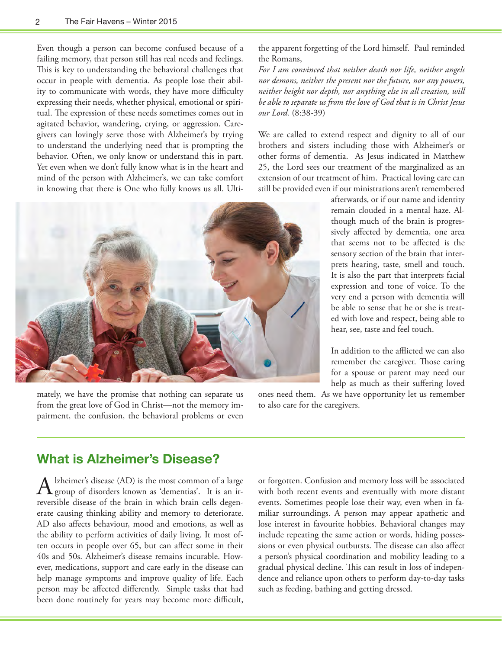Even though a person can become confused because of a failing memory, that person still has real needs and feelings. This is key to understanding the behavioral challenges that occur in people with dementia. As people lose their ability to communicate with words, they have more difficulty expressing their needs, whether physical, emotional or spiritual. The expression of these needs sometimes comes out in agitated behavior, wandering, crying, or aggression. Caregivers can lovingly serve those with Alzheimer's by trying to understand the underlying need that is prompting the behavior. Often, we only know or understand this in part. Yet even when we don't fully know what is in the heart and mind of the person with Alzheimer's, we can take comfort in knowing that there is One who fully knows us all. Ultithe apparent forgetting of the Lord himself. Paul reminded the Romans,

*For I am convinced that neither death nor life, neither angels nor demons, neither the present nor the future, nor any powers, neither height nor depth, nor anything else in all creation, will be able to separate us from the love of God that is in Christ Jesus our Lord.* (8:38-39)

We are called to extend respect and dignity to all of our brothers and sisters including those with Alzheimer's or other forms of dementia. As Jesus indicated in Matthew 25, the Lord sees our treatment of the marginalized as an extension of our treatment of him. Practical loving care can still be provided even if our ministrations aren't remembered

> afterwards, or if our name and identity remain clouded in a mental haze. Although much of the brain is progressively affected by dementia, one area that seems not to be affected is the sensory section of the brain that interprets hearing, taste, smell and touch. It is also the part that interprets facial expression and tone of voice. To the very end a person with dementia will be able to sense that he or she is treated with love and respect, being able to hear, see, taste and feel touch.

> In addition to the afflicted we can also remember the caregiver. Those caring for a spouse or parent may need our help as much as their suffering loved

ones need them. As we have opportunity let us remember to also care for the caregivers.

# mately, we have the promise that nothing can separate us from the great love of God in Christ—not the memory impairment, the confusion, the behavioral problems or even

**What is Alzheimer's Disease?**

A Izheimer's disease (AD) is the most common of a large<br>group of disorders known as 'dementias'. It is an irreversible disease of the brain in which brain cells degenerate causing thinking ability and memory to deteriorate. AD also affects behaviour, mood and emotions, as well as the ability to perform activities of daily living. It most often occurs in people over 65, but can affect some in their 40s and 50s. Alzheimer's disease remains incurable. However, medications, support and care early in the disease can help manage symptoms and improve quality of life. Each person may be affected differently. Simple tasks that had been done routinely for years may become more difficult,

or forgotten. Confusion and memory loss will be associated with both recent events and eventually with more distant events. Sometimes people lose their way, even when in familiar surroundings. A person may appear apathetic and lose interest in favourite hobbies. Behavioral changes may include repeating the same action or words, hiding possessions or even physical outbursts. The disease can also affect a person's physical coordination and mobility leading to a gradual physical decline. This can result in loss of independence and reliance upon others to perform day-to-day tasks such as feeding, bathing and getting dressed.

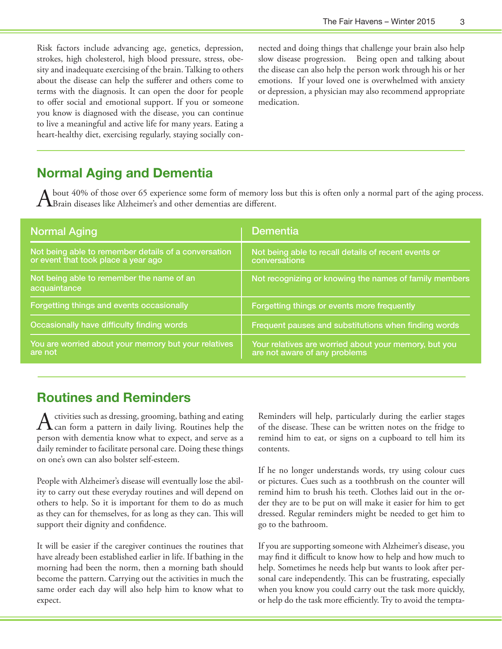Risk factors include advancing age, genetics, depression, strokes, high cholesterol, high blood pressure, stress, obesity and inadequate exercising of the brain. Talking to others about the disease can help the sufferer and others come to terms with the diagnosis. It can open the door for people to offer social and emotional support. If you or someone you know is diagnosed with the disease, you can continue to live a meaningful and active life for many years. Eating a heart-healthy diet, exercising regularly, staying socially connected and doing things that challenge your brain also help slow disease progression. Being open and talking about the disease can also help the person work through his or her emotions. If your loved one is overwhelmed with anxiety or depression, a physician may also recommend appropriate medication.

## **Normal Aging and Dementia**

A bout 40% of those over 65 experience some form of memory loss but this is often only a normal part of the aging process.<br>A Brain diseases like Alzheimer's and other dementias are different.

| <b>Normal Aging</b>                                                                         | <b>Dementia</b>                                                                        |
|---------------------------------------------------------------------------------------------|----------------------------------------------------------------------------------------|
| Not being able to remember details of a conversation<br>or event that took place a year ago | Not being able to recall details of recent events or<br>conversations                  |
| Not being able to remember the name of an<br>acquaintance                                   | Not recognizing or knowing the names of family members                                 |
| <b>Forgetting things and events occasionally</b>                                            | Forgetting things or events more frequently                                            |
| Occasionally have difficulty finding words                                                  | Frequent pauses and substitutions when finding words                                   |
| You are worried about your memory but your relatives<br>are not                             | Your relatives are worried about your memory, but you<br>are not aware of any problems |

### **Routines and Reminders**

Activities such as dressing, grooming, bathing and eating can form a pattern in daily living. Routines help the person with dementia know what to expect, and serve as a daily reminder to facilitate personal care. Doing these things on one's own can also bolster self-esteem.

People with Alzheimer's disease will eventually lose the ability to carry out these everyday routines and will depend on others to help. So it is important for them to do as much as they can for themselves, for as long as they can. This will support their dignity and confidence.

It will be easier if the caregiver continues the routines that have already been established earlier in life. If bathing in the morning had been the norm, then a morning bath should become the pattern. Carrying out the activities in much the same order each day will also help him to know what to expect.

Reminders will help, particularly during the earlier stages of the disease. These can be written notes on the fridge to remind him to eat, or signs on a cupboard to tell him its contents.

If he no longer understands words, try using colour cues or pictures. Cues such as a toothbrush on the counter will remind him to brush his teeth. Clothes laid out in the order they are to be put on will make it easier for him to get dressed. Regular reminders might be needed to get him to go to the bathroom.

If you are supporting someone with Alzheimer's disease, you may find it difficult to know how to help and how much to help. Sometimes he needs help but wants to look after personal care independently. This can be frustrating, especially when you know you could carry out the task more quickly, or help do the task more efficiently. Try to avoid the tempta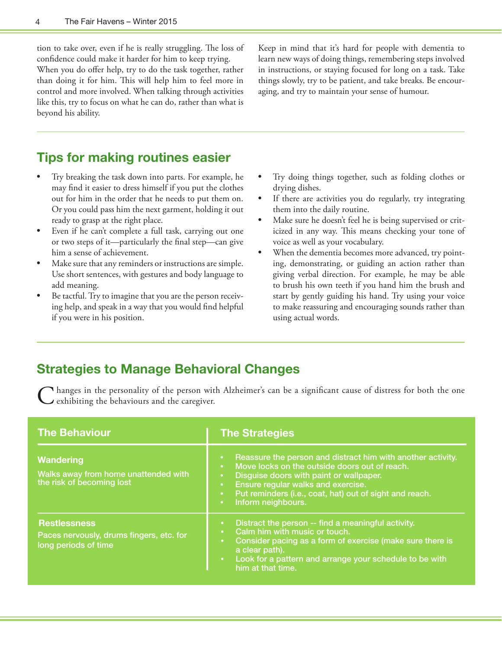tion to take over, even if he is really struggling. The loss of confidence could make it harder for him to keep trying. When you do offer help, try to do the task together, rather than doing it for him. This will help him to feel more in control and more involved. When talking through activities like this, try to focus on what he can do, rather than what is beyond his ability.

Keep in mind that it's hard for people with dementia to learn new ways of doing things, remembering steps involved in instructions, or staying focused for long on a task. Take things slowly, try to be patient, and take breaks. Be encouraging, and try to maintain your sense of humour.

# **Tips for making routines easier**

- Try breaking the task down into parts. For example, he may find it easier to dress himself if you put the clothes out for him in the order that he needs to put them on. Or you could pass him the next garment, holding it out ready to grasp at the right place.
- Even if he can't complete a full task, carrying out one or two steps of it—particularly the final step—can give him a sense of achievement.
- Make sure that any reminders or instructions are simple. Use short sentences, with gestures and body language to add meaning.
- Be tactful. Try to imagine that you are the person receiving help, and speak in a way that you would find helpful if you were in his position.
- Try doing things together, such as folding clothes or drying dishes.
- If there are activities you do regularly, try integrating them into the daily routine.
- Make sure he doesn't feel he is being supervised or criticized in any way. This means checking your tone of voice as well as your vocabulary.
- When the dementia becomes more advanced, try pointing, demonstrating, or guiding an action rather than giving verbal direction. For example, he may be able to brush his own teeth if you hand him the brush and start by gently guiding his hand. Try using your voice to make reassuring and encouraging sounds rather than using actual words.

# **Strategies to Manage Behavioral Changes**

Changes in the personality of the person with Alzheimer's can be a significant cause of distress for both the one  $\blacktriangleright$  exhibiting the behaviours and the caregiver.

| <b>The Behaviour</b>                                                                    | <b>The Strategies</b>                                                                                                                                                                                                                                                                                                                                                |
|-----------------------------------------------------------------------------------------|----------------------------------------------------------------------------------------------------------------------------------------------------------------------------------------------------------------------------------------------------------------------------------------------------------------------------------------------------------------------|
| <b>Wandering</b><br>Walks away from home unattended with<br>the risk of becoming lost   | Reassure the person and distract him with another activity.<br>$\bullet$<br>Move locks on the outside doors out of reach.<br>$\bullet$ .<br>Disguise doors with paint or wallpaper.<br>$\bullet$<br>Ensure regular walks and exercise.<br>$\bullet$ .<br>Put reminders (i.e., coat, hat) out of sight and reach.<br>$\bullet$ .<br>Inform neighbours.<br>$\bullet$ . |
| <b>Restlessness</b><br>Paces nervously, drums fingers, etc. for<br>long periods of time | Distract the person -- find a meaningful activity.<br>$\bullet$<br>Calm him with music or touch.<br>$\bullet$<br>Consider pacing as a form of exercise (make sure there is<br>$\bullet$ .<br>a clear path).<br>Look for a pattern and arrange your schedule to be with<br>$\bullet$ .<br>him at that time.                                                           |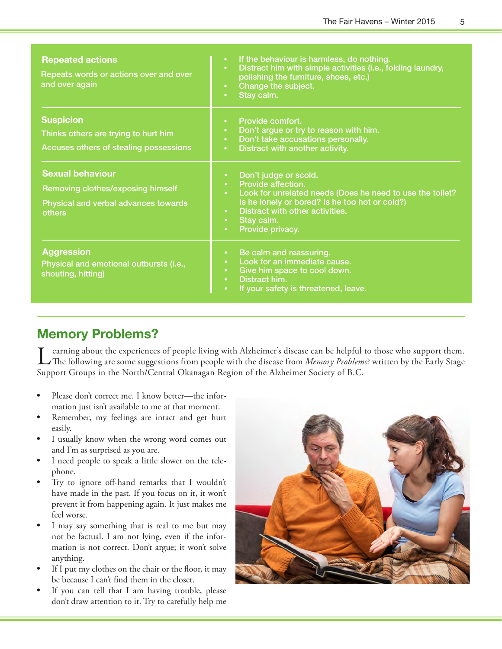| <b>Repeated actions</b><br>Repeats words or actions over and over<br>and over again                                   | If the behaviour is harmless, do nothing.<br>$\bullet$ .<br>Distract him with simple activities (i.e., folding laundry,<br>$\bullet$<br>polishing the furniture, shoes, etc.)<br>Change the subject.<br>$\bullet$<br>Stay calm.<br>$\bullet$                                                                    |
|-----------------------------------------------------------------------------------------------------------------------|-----------------------------------------------------------------------------------------------------------------------------------------------------------------------------------------------------------------------------------------------------------------------------------------------------------------|
| <b>Suspicion</b><br>Thinks others are trying to hurt him<br>Accuses others of stealing possessions                    | Provide comfort.<br>$\bullet$ .<br>Don't argue or try to reason with him.<br>$\bullet$<br>Don't take accusations personally.<br>$\bullet$ .<br>Distract with another activity.<br>$\bullet$                                                                                                                     |
| <b>Sexual behaviour</b><br>Removing clothes/exposing himself<br>Physical and verbal advances towards<br><b>others</b> | Don't judge or scold.<br>$\bullet$<br>Provide affection.<br>$\bullet$ .<br>Look for unrelated needs (Does he need to use the toilet?<br>$\bullet$<br>Is he lonely or bored? Is he too hot or cold?)<br>Distract with other activities.<br>$\bullet$<br>Stay calm.<br>$\bullet$<br>Provide privacy.<br>$\bullet$ |
| <b>Aggression</b><br>Physical and emotional outbursts (i.e.,<br>shouting, hitting)                                    | Be calm and reassuring.<br>$\bullet$<br>Look for an immediate cause.<br>$\bullet$<br>Give him space to cool down.<br>$\bullet$<br>Distract him.<br>$\bullet$<br>If your safety is threatened, leave.<br>$\bullet$                                                                                               |

# **Memory Problems?**

earning about the experiences of people living with Alzheimer's disease can be helpful to those who support them. The following are some suggestions from people with the disease from *Memory Problems*? written by the Early Stage Support Groups in the North/Central Okanagan Region of the Alzheimer Society of B.C.

- Please don't correct me. I know better—the information just isn't available to me at that moment.
- • Remember, my feelings are intact and get hurt easily.
- • I usually know when the wrong word comes out and I'm as surprised as you are.
- • I need people to speak a little slower on the telephone.
- • Try to ignore off-hand remarks that I wouldn't have made in the past. If you focus on it, it won't prevent it from happening again. It just makes me feel worse.
- I may say something that is real to me but may not be factual. I am not lying, even if the information is not correct. Don't argue; it won't solve anything.
- If I put my clothes on the chair or the floor, it may be because I can't find them in the closet.
- • If you can tell that I am having trouble, please don't draw attention to it. Try to carefully help me

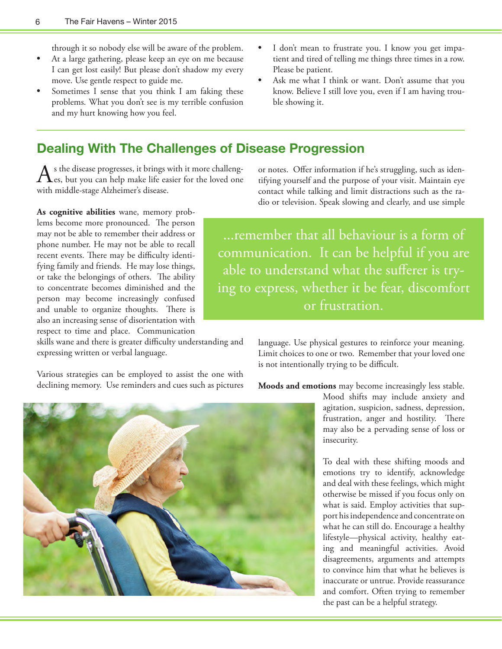through it so nobody else will be aware of the problem.

- At a large gathering, please keep an eye on me because I can get lost easily! But please don't shadow my every move. Use gentle respect to guide me.
- Sometimes I sense that you think I am faking these problems. What you don't see is my terrible confusion and my hurt knowing how you feel.
- I don't mean to frustrate you. I know you get impatient and tired of telling me things three times in a row. Please be patient.
- Ask me what I think or want. Don't assume that you know. Believe I still love you, even if I am having trouble showing it.

### **Dealing With The Challenges of Disease Progression**

 $A<sub>s</sub>$  the disease progresses, it brings with it more challeng-<br>es, but you can help make life easier for the loved one with middle-stage Alzheimer's disease.

**As cognitive abilities** wane, memory problems become more pronounced. The person may not be able to remember their address or phone number. He may not be able to recall recent events. There may be difficulty identifying family and friends. He may lose things, or take the belongings of others. The ability to concentrate becomes diminished and the person may become increasingly confused and unable to organize thoughts. There is also an increasing sense of disorientation with respect to time and place. Communication

skills wane and there is greater difficulty understanding and expressing written or verbal language.

Various strategies can be employed to assist the one with declining memory. Use reminders and cues such as pictures

or notes. Offer information if he's struggling, such as identifying yourself and the purpose of your visit. Maintain eye contact while talking and limit distractions such as the radio or television. Speak slowing and clearly, and use simple

...remember that all behaviour is a form of communication. It can be helpful if you are able to understand what the sufferer is trying to express, whether it be fear, discomfort or frustration.

> language. Use physical gestures to reinforce your meaning. Limit choices to one or two. Remember that your loved one is not intentionally trying to be difficult.

**Moods and emotions** may become increasingly less stable.



Mood shifts may include anxiety and agitation, suspicion, sadness, depression, frustration, anger and hostility. There may also be a pervading sense of loss or insecurity.

To deal with these shifting moods and emotions try to identify, acknowledge and deal with these feelings, which might otherwise be missed if you focus only on what is said. Employ activities that support his independence and concentrate on what he can still do. Encourage a healthy lifestyle—physical activity, healthy eating and meaningful activities. Avoid disagreements, arguments and attempts to convince him that what he believes is inaccurate or untrue. Provide reassurance and comfort. Often trying to remember the past can be a helpful strategy.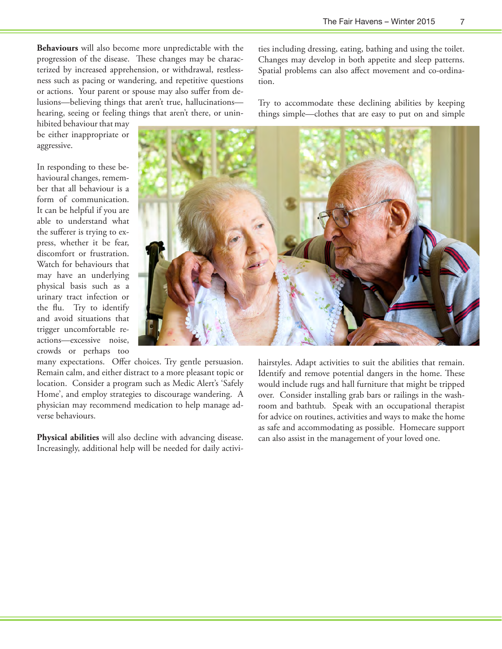ties including dressing, eating, bathing and using the toilet. Changes may develop in both appetite and sleep patterns. Spatial problems can also affect movement and co-ordina-

Try to accommodate these declining abilities by keeping things simple—clothes that are easy to put on and simple

**Behaviours** will also become more unpredictable with the progression of the disease. These changes may be characterized by increased apprehension, or withdrawal, restlessness such as pacing or wandering, and repetitive questions or actions. Your parent or spouse may also suffer from delusions—believing things that aren't true, hallucinations hearing, seeing or feeling things that aren't there, or unin-

hibited behaviour that may be either inappropriate or aggressive.

In responding to these behavioural changes, remember that all behaviour is a form of communication. It can be helpful if you are able to understand what the sufferer is trying to express, whether it be fear, discomfort or frustration. Watch for behaviours that may have an underlying physical basis such as a urinary tract infection or the flu. Try to identify and avoid situations that trigger uncomfortable reactions—excessive noise, crowds or perhaps too

tion.

many expectations. Offer choices. Try gentle persuasion. Remain calm, and either distract to a more pleasant topic or location. Consider a program such as Medic Alert's 'Safely Home', and employ strategies to discourage wandering. A physician may recommend medication to help manage adverse behaviours.

**Physical abilities** will also decline with advancing disease. Increasingly, additional help will be needed for daily activihairstyles. Adapt activities to suit the abilities that remain. Identify and remove potential dangers in the home. These would include rugs and hall furniture that might be tripped over. Consider installing grab bars or railings in the washroom and bathtub. Speak with an occupational therapist for advice on routines, activities and ways to make the home as safe and accommodating as possible. Homecare support can also assist in the management of your loved one.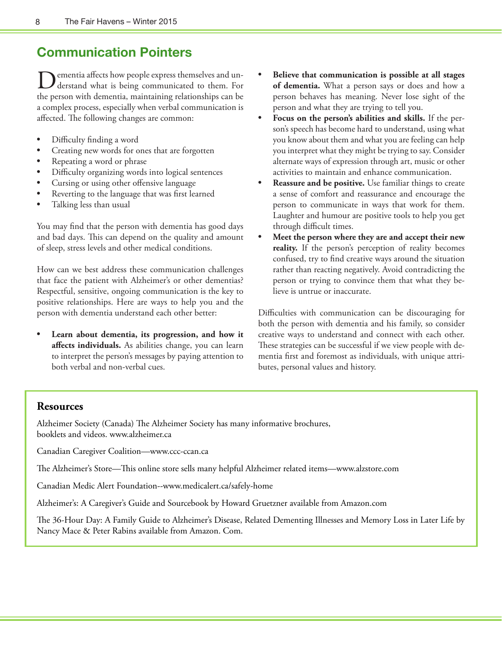# **Communication Pointers**

Dementia affects how people express themselves and un-derstand what is being communicated to them. For the person with dementia, maintaining relationships can be a complex process, especially when verbal communication is affected. The following changes are common:

- Difficulty finding a word
- Creating new words for ones that are forgotten
- Repeating a word or phrase
- Difficulty organizing words into logical sentences
- Cursing or using other offensive language
- Reverting to the language that was first learned
- Talking less than usual

You may find that the person with dementia has good days and bad days. This can depend on the quality and amount of sleep, stress levels and other medical conditions.

How can we best address these communication challenges that face the patient with Alzheimer's or other dementias? Respectful, sensitive, ongoing communication is the key to positive relationships. Here are ways to help you and the person with dementia understand each other better:

Learn about dementia, its progression, and how it **affects individuals.** As abilities change, you can learn to interpret the person's messages by paying attention to both verbal and non-verbal cues.

- **• Believe that communication is possible at all stages of dementia.** What a person says or does and how a person behaves has meaning. Never lose sight of the person and what they are trying to tell you.
- Focus on the person's abilities and skills. If the person's speech has become hard to understand, using what you know about them and what you are feeling can help you interpret what they might be trying to say. Consider alternate ways of expression through art, music or other activities to maintain and enhance communication.
- **Reassure and be positive.** Use familiar things to create a sense of comfort and reassurance and encourage the person to communicate in ways that work for them. Laughter and humour are positive tools to help you get through difficult times.
- **• Meet the person where they are and accept their new**  reality. If the person's perception of reality becomes confused, try to find creative ways around the situation rather than reacting negatively. Avoid contradicting the person or trying to convince them that what they believe is untrue or inaccurate.

Difficulties with communication can be discouraging for both the person with dementia and his family, so consider creative ways to understand and connect with each other. These strategies can be successful if we view people with dementia first and foremost as individuals, with unique attributes, personal values and history.

### **Resources**

Alzheimer Society (Canada) The Alzheimer Society has many informative brochures, booklets and videos. www.alzheimer.ca

Canadian Caregiver Coalition—www.ccc-ccan.ca

The Alzheimer's Store—This online store sells many helpful Alzheimer related items—www.alzstore.com

Canadian Medic Alert Foundation--www.medicalert.ca/safely-home

Alzheimer's: A Caregiver's Guide and Sourcebook by Howard Gruetzner available from Amazon.com

The 36-Hour Day: A Family Guide to Alzheimer's Disease, Related Dementing Illnesses and Memory Loss in Later Life by Nancy Mace & Peter Rabins available from Amazon. Com.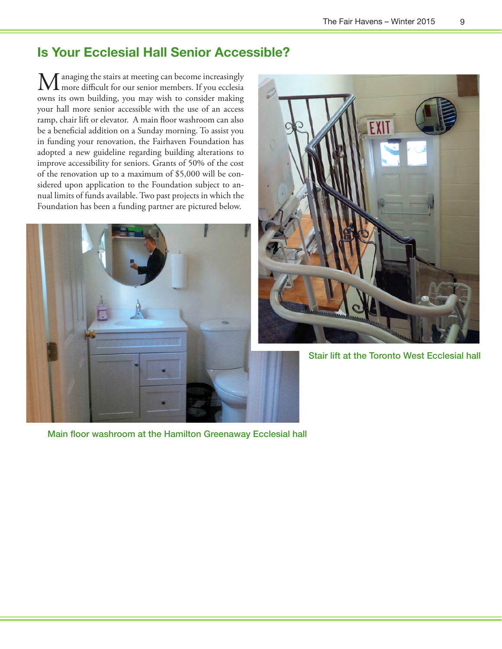# **Is Your Ecclesial Hall Senior Accessible?**

Managing the stairs at meeting can become increasingly more difficult for our senior members. If you ecclesia owns its own building, you may wish to consider making your hall more senior accessible with the use of an access ramp, chair lift or elevator. A main floor washroom can also be a beneficial addition on a Sunday morning. To assist you in funding your renovation, the Fairhaven Foundation has adopted a new guideline regarding building alterations to improve accessibility for seniors. Grants of 50% of the cost of the renovation up to a maximum of \$5,000 will be considered upon application to the Foundation subject to annual limits of funds available. Two past projects in which the Foundation has been a funding partner are pictured below.



Main floor washroom at the Hamilton Greenaway Ecclesial hall



Stair lift at the Toronto West Ecclesial hall